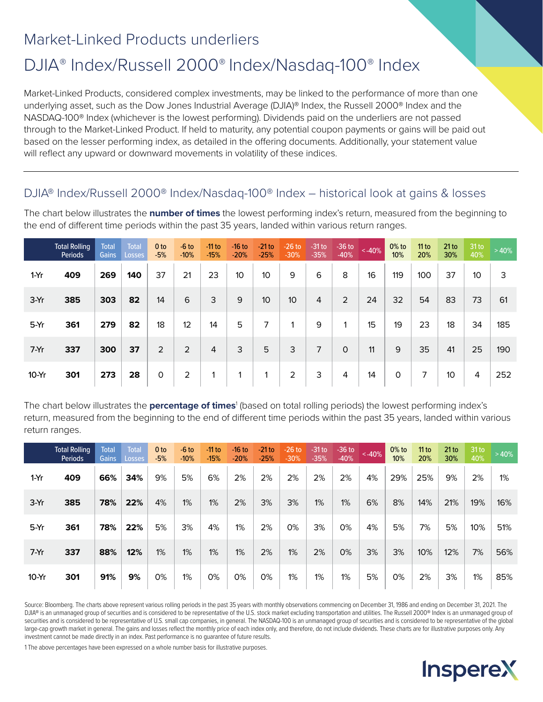## Market-Linked Products underliers

# DJIA® Index/Russell 2000® Index/Nasdaq-100® Index

Market-Linked Products, considered complex investments, may be linked to the performance of more than one underlying asset, such as the Dow Jones Industrial Average (DJIA)® Index, the Russell 2000® Index and the NASDAQ-100® Index (whichever is the lowest performing). Dividends paid on the underliers are not passed through to the Market-Linked Product. If held to maturity, any potential coupon payments or gains will be paid out based on the lesser performing index, as detailed in the offering documents. Additionally, your statement value will reflect any upward or downward movements in volatility of these indices.

### DJIA® Index/Russell 2000® Index/Nasdaq-100® Index – historical look at gains & losses

The chart below illustrates the **number of times** the lowest performing index's return, measured from the beginning to the end of different time periods within the past 35 years, landed within various return ranges.

|         | <b>Total Rolling</b><br>Periods | <b>Total</b><br>Gains | <b>Total</b><br><b>Losses</b> | 0 <sub>to</sub><br>$-5%$ | $-6$ to<br>$-10%$ | $-11$ to<br>$-15%$ | $-16$ to<br>$-20%$ | $-21$ to<br>$-25%$ | $-26$ to<br>$-30%$ | $-31$ to<br>$-35%$ | $-36$ to<br>$-40%$ | ~140% | $0\%$ to<br>10% | 11 to<br>20% | 21 to<br>30% | 31 <sub>to</sub><br>40% | >40% |
|---------|---------------------------------|-----------------------|-------------------------------|--------------------------|-------------------|--------------------|--------------------|--------------------|--------------------|--------------------|--------------------|-------|-----------------|--------------|--------------|-------------------------|------|
| $1-Yr$  | 409                             | 269                   | 140                           | 37                       | 21                | 23                 | 10 <sup>°</sup>    | 10                 | 9                  | 6                  | 8                  | 16    | 119             | 100          | 37           | 10                      | 3    |
| 3-Yr    | 385                             | 303                   | 82                            | 14                       | 6                 | 3                  | 9                  | 10                 | 10 <sup>1</sup>    | $\overline{4}$     | 2                  | 24    | 32              | 54           | 83           | 73                      | 61   |
| 5-Yr    | 361                             | 279                   | 82                            | 18                       | 12                | 14                 | 5                  | 7                  |                    | 9                  |                    | 15    | 19              | 23           | 18           | 34                      | 185  |
| $7-Yr$  | 337                             | 300                   | 37                            | $\overline{2}$           | 2                 | $\overline{4}$     | 3                  | 5                  | 3                  | $\overline{7}$     | $\Omega$           | 11    | 9               | 35           | 41           | 25                      | 190  |
| $10-Yr$ | 301                             | 273                   | 28                            | $\circ$                  | $\overline{2}$    |                    |                    |                    | $\overline{2}$     | 3                  | 4                  | 14    | 0               | 7            | 10           | 4                       | 252  |

The chart below illustrates the **percentage of times**<sup>1</sup> (based on total rolling periods) the lowest performing index's return, measured from the beginning to the end of different time periods within the past 35 years, landed within various return ranges.

|         | <b>Total Rolling</b><br>Periods | Total<br><b>Gains</b> | <b>Total</b><br>Losses | 0 <sub>to</sub><br>$-5%$ | $-6$ to<br>$-10%$ | -11 to<br>$-15%$ | $-16$ to<br>$-20%$ | $-21$ to<br>$-25%$ | $-26$ to<br>$-30%$ | $-31$ to<br>$-35%$ | $-36$ to<br>$-40%$ | $< -40%$ | $0\%$ to<br>10% | 11 to<br>20% | 21 to<br>30% | $31$ to<br>40% | >40% |
|---------|---------------------------------|-----------------------|------------------------|--------------------------|-------------------|------------------|--------------------|--------------------|--------------------|--------------------|--------------------|----------|-----------------|--------------|--------------|----------------|------|
| $1-Yr$  | 409                             | 66%                   | 34%                    | 9%                       | 5%                | 6%               | 2%                 | 2%                 | 2%                 | 2%                 | 2%                 | 4%       | 29%             | 25%          | 9%           | 2%             | 1%   |
| $3-Yr$  | 385                             | 78%                   | 22%                    | 4%                       | 1%                | 1%               | 2%                 | 3%                 | 3%                 | 1%                 | 1%                 | 6%       | 8%              | 14%          | 21%          | 19%            | 16%  |
| $5-Yr$  | 361                             | 78%                   | 22%                    | 5%                       | 3%                | 4%               | 1%                 | 2%                 | 0%                 | 3%                 | 0%                 | 4%       | 5%              | 7%           | 5%           | 10%            | 51%  |
| $7-Yr$  | 337                             | 88%                   | 12%                    | 1%                       | 1%                | 1%               | 1%                 | 2%                 | 1%                 | 2%                 | $0\%$              | 3%       | 3%              | 10%          | 12%          | 7%             | 56%  |
| $10-Yr$ | 301                             | 91%                   | 9%                     | 0%                       | 1%                | 0%               | 0%                 | 0%                 | 1%                 | 1%                 | 1%                 | 5%       | 0%              | 2%           | 3%           | 1%             | 85%  |

Source: Bloomberg. The charts above represent various rolling periods in the past 35 years with monthly observations commencing on December 31, 1986 and ending on December 31, 2021. The DJIA® is an unmanaged group of securities and is considered to be representative of the U.S. stock market excluding transportation and utilities. The Russell 2000® Index is an unmanaged group of securities and is considered to be representative of U.S. small cap companies, in general. The NASDAQ-100 is an unmanaged group of securities and is considered to be representative of the global large-cap growth market in general. The gains and losses reflect the monthly price of each index only, and therefore, do not include dividends. These charts are for illustrative purposes only. Any investment cannot be made directly in an index. Past performance is no guarantee of future results.

1 The above percentages have been expressed on a whole number basis for illustrative purposes.